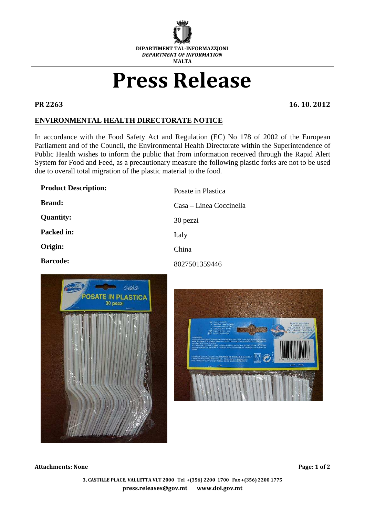

## Press Release

PR 2263 16. 10. 2012

## **ENVIRONMENTAL HEALTH DIRECTORATE NOTICE**

In accordance with the Food Safety Act and Regulation (EC) No 178 of 2002 of the European Parliament and of the Council, the Environmental Health Directorate within the Superintendence of Public Health wishes to inform the public that from information received through the Rapid Alert System for Food and Feed, as a precautionary measure the following plastic forks are not to be used due to overall total migration of the plastic material to the food.

| <b>Product Description:</b> | Posate in Plastica      |
|-----------------------------|-------------------------|
| <b>Brand:</b>               | Casa – Linea Coccinella |
| <b>Quantity:</b>            | 30 pezzi                |
| Packed in:                  | Italy                   |
| Origin:                     | China                   |
| <b>Barcode:</b>             | 8027501359446           |